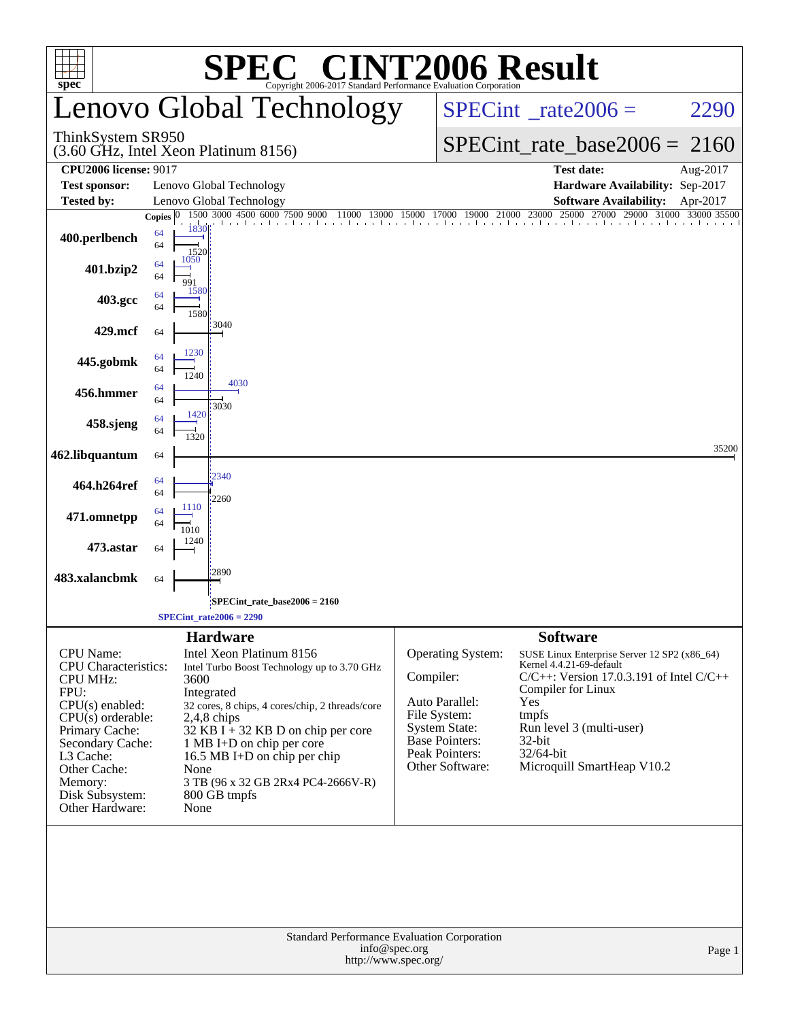| $spec^{\circ}$                                                                                                                                                                                                                             |                    | SPE0                                                                                                                                                                            | <b>C® CINT2006 Result</b><br>Copyright 2006-2017 Standard Performance Evaluation Corporation                                                                                 |                                          |                                                                                                                                           |                                                                              |                                                                                                                                                                                     |          |
|--------------------------------------------------------------------------------------------------------------------------------------------------------------------------------------------------------------------------------------------|--------------------|---------------------------------------------------------------------------------------------------------------------------------------------------------------------------------|------------------------------------------------------------------------------------------------------------------------------------------------------------------------------|------------------------------------------|-------------------------------------------------------------------------------------------------------------------------------------------|------------------------------------------------------------------------------|-------------------------------------------------------------------------------------------------------------------------------------------------------------------------------------|----------|
|                                                                                                                                                                                                                                            |                    |                                                                                                                                                                                 | Lenovo Global Technology                                                                                                                                                     | $SPECint^{\circ}$ <sub>_rate2006</sub> = |                                                                                                                                           |                                                                              | 2290                                                                                                                                                                                |          |
| ThinkSystem SR950                                                                                                                                                                                                                          |                    | (3.60 GHz, Intel Xeon Platinum 8156)                                                                                                                                            |                                                                                                                                                                              | $SPECint_rate_base2006 = 2160$           |                                                                                                                                           |                                                                              |                                                                                                                                                                                     |          |
| <b>CPU2006 license: 9017</b>                                                                                                                                                                                                               |                    |                                                                                                                                                                                 |                                                                                                                                                                              |                                          |                                                                                                                                           |                                                                              | <b>Test date:</b>                                                                                                                                                                   | Aug-2017 |
| <b>Test sponsor:</b><br>Tested by:                                                                                                                                                                                                         |                    | Lenovo Global Technology<br>Lenovo Global Technology                                                                                                                            |                                                                                                                                                                              |                                          |                                                                                                                                           |                                                                              | Hardware Availability: Sep-2017<br><b>Software Availability:</b>                                                                                                                    | Apr-2017 |
|                                                                                                                                                                                                                                            | Copies $ 0\rangle$ | 1500 3000 4500 6000 7500 9000                                                                                                                                                   | 000 4500 6000 7500 9000 11000 13000 15000 17000 19000 21000 23000 25000 27000 29000 31000 33000 35500                                                                        |                                          |                                                                                                                                           |                                                                              |                                                                                                                                                                                     |          |
| 400.perlbench                                                                                                                                                                                                                              | 64<br>64           | 1830<br>1520                                                                                                                                                                    |                                                                                                                                                                              |                                          |                                                                                                                                           |                                                                              |                                                                                                                                                                                     |          |
| 401.bzip2                                                                                                                                                                                                                                  | 64<br>64           | 1050<br>991<br>1580                                                                                                                                                             |                                                                                                                                                                              |                                          |                                                                                                                                           |                                                                              |                                                                                                                                                                                     |          |
| 403.gcc                                                                                                                                                                                                                                    | 64<br>64           | 1580                                                                                                                                                                            |                                                                                                                                                                              |                                          |                                                                                                                                           |                                                                              |                                                                                                                                                                                     |          |
| 429.mcf                                                                                                                                                                                                                                    | 64                 | 3040<br>1230                                                                                                                                                                    |                                                                                                                                                                              |                                          |                                                                                                                                           |                                                                              |                                                                                                                                                                                     |          |
| 445.gobmk                                                                                                                                                                                                                                  | 64<br>64           | 1240                                                                                                                                                                            |                                                                                                                                                                              |                                          |                                                                                                                                           |                                                                              |                                                                                                                                                                                     |          |
| 456.hmmer                                                                                                                                                                                                                                  | 64<br>64           | 4030<br>3030                                                                                                                                                                    |                                                                                                                                                                              |                                          |                                                                                                                                           |                                                                              |                                                                                                                                                                                     |          |
| 458.sjeng                                                                                                                                                                                                                                  | 64<br>64           | 1420<br>1320                                                                                                                                                                    |                                                                                                                                                                              |                                          |                                                                                                                                           |                                                                              |                                                                                                                                                                                     |          |
| 462.libquantum                                                                                                                                                                                                                             | 64                 |                                                                                                                                                                                 |                                                                                                                                                                              |                                          |                                                                                                                                           |                                                                              |                                                                                                                                                                                     | 35200    |
| 464.h264ref                                                                                                                                                                                                                                | 64<br>64           | 2340<br>2260                                                                                                                                                                    |                                                                                                                                                                              |                                          |                                                                                                                                           |                                                                              |                                                                                                                                                                                     |          |
| 471.omnetpp                                                                                                                                                                                                                                | 64<br>64           | 1110<br>1010                                                                                                                                                                    |                                                                                                                                                                              |                                          |                                                                                                                                           |                                                                              |                                                                                                                                                                                     |          |
| 473.astar                                                                                                                                                                                                                                  | 64                 | 1240                                                                                                                                                                            |                                                                                                                                                                              |                                          |                                                                                                                                           |                                                                              |                                                                                                                                                                                     |          |
| 483.xalancbmk                                                                                                                                                                                                                              | 64                 | 2890                                                                                                                                                                            |                                                                                                                                                                              |                                          |                                                                                                                                           |                                                                              |                                                                                                                                                                                     |          |
|                                                                                                                                                                                                                                            |                    | SPECint rate base $2006 = 2160$<br>$SPECint_rate2006 = 2290$                                                                                                                    |                                                                                                                                                                              |                                          |                                                                                                                                           |                                                                              |                                                                                                                                                                                     |          |
| <b>CPU</b> Name:<br><b>CPU</b> Characteristics:<br><b>CPU MHz:</b><br>FPU:<br>$CPU(s)$ enabled:<br>$CPU(s)$ orderable:<br>Primary Cache:<br>Secondary Cache:<br>L3 Cache:<br>Other Cache:<br>Memory:<br>Disk Subsystem:<br>Other Hardware: |                    | <b>Hardware</b><br>Intel Xeon Platinum 8156<br>3600<br>Integrated<br>$2,4,8$ chips<br>1 MB I+D on chip per core<br>16.5 MB I+D on chip per chip<br>None<br>800 GB tmpfs<br>None | Intel Turbo Boost Technology up to 3.70 GHz<br>32 cores, 8 chips, 4 cores/chip, 2 threads/core<br>32 KB I $+$ 32 KB D on chip per core<br>3 TB (96 x 32 GB 2Rx4 PC4-2666V-R) | Compiler:                                | Operating System:<br>Auto Parallel:<br>File System:<br><b>System State:</b><br><b>Base Pointers:</b><br>Peak Pointers:<br>Other Software: | <b>Software</b><br>Compiler for Linux<br>Yes<br>tmpfs<br>32-bit<br>32/64-bit | SUSE Linux Enterprise Server 12 SP2 (x86_64)<br>Kernel 4.4.21-69-default<br>$C/C++$ : Version 17.0.3.191 of Intel $C/C++$<br>Run level 3 (multi-user)<br>Microquill SmartHeap V10.2 |          |
|                                                                                                                                                                                                                                            |                    |                                                                                                                                                                                 | Standard Performance Evaluation Corporation                                                                                                                                  | info@spec.org<br>http://www.spec.org/    |                                                                                                                                           |                                                                              |                                                                                                                                                                                     | Page 1   |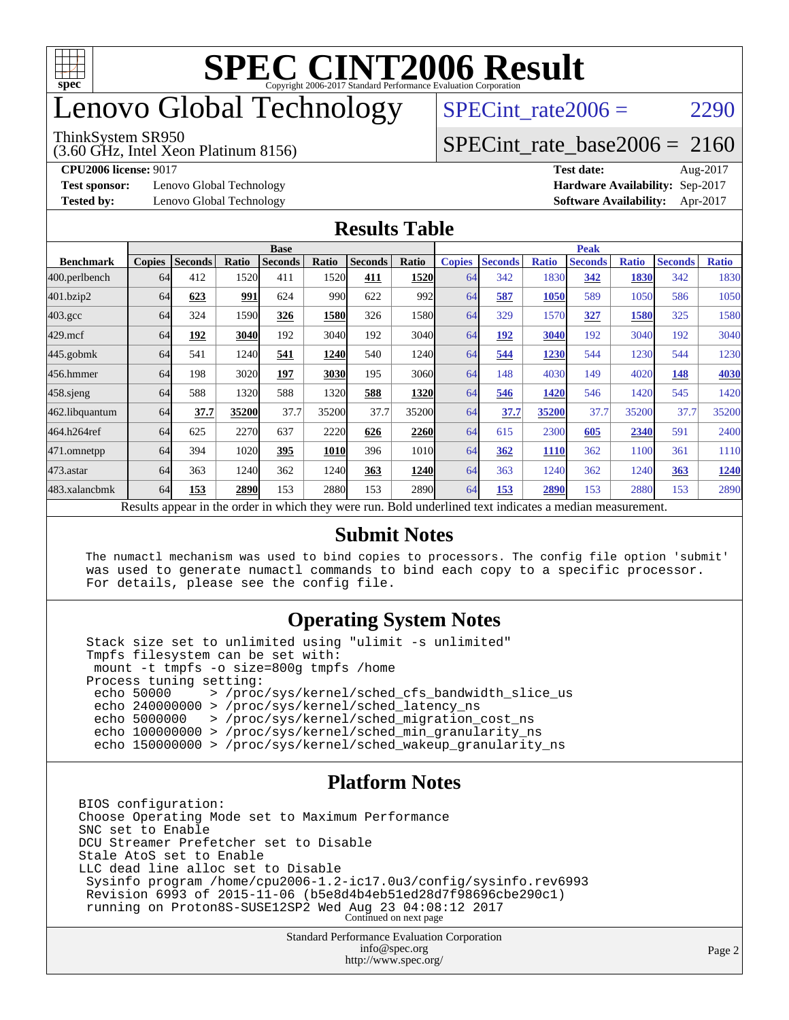

# enovo Global Technology

#### ThinkSystem SR950

(3.60 GHz, Intel Xeon Platinum 8156)

SPECint rate $2006 = 2290$ 

#### [SPECint\\_rate\\_base2006 =](http://www.spec.org/auto/cpu2006/Docs/result-fields.html#SPECintratebase2006) 2160

**[Test sponsor:](http://www.spec.org/auto/cpu2006/Docs/result-fields.html#Testsponsor)** Lenovo Global Technology **[Hardware Availability:](http://www.spec.org/auto/cpu2006/Docs/result-fields.html#HardwareAvailability)** Sep-2017

**[CPU2006 license:](http://www.spec.org/auto/cpu2006/Docs/result-fields.html#CPU2006license)** 9017 **[Test date:](http://www.spec.org/auto/cpu2006/Docs/result-fields.html#Testdate)** Aug-2017 **[Tested by:](http://www.spec.org/auto/cpu2006/Docs/result-fields.html#Testedby)** Lenovo Global Technology **[Software Availability:](http://www.spec.org/auto/cpu2006/Docs/result-fields.html#SoftwareAvailability)** Apr-2017

#### **[Results Table](http://www.spec.org/auto/cpu2006/Docs/result-fields.html#ResultsTable)**

|                    | <b>Base</b>                                                        |                |       |                |       |                |                   | <b>Peak</b>   |                |              |                |              |                |              |
|--------------------|--------------------------------------------------------------------|----------------|-------|----------------|-------|----------------|-------------------|---------------|----------------|--------------|----------------|--------------|----------------|--------------|
| <b>Benchmark</b>   | <b>Copies</b>                                                      | <b>Seconds</b> | Ratio | <b>Seconds</b> | Ratio | <b>Seconds</b> | Ratio             | <b>Copies</b> | <b>Seconds</b> | <b>Ratio</b> | <b>Seconds</b> | <b>Ratio</b> | <b>Seconds</b> | <b>Ratio</b> |
| 400.perlbench      | 64                                                                 | 412            | 1520  | 411            | 1520  | 411            | 1520              | 64            | 342            | 1830         | 342            | 1830         | 342            | 1830         |
| 401.bzip2          | 64                                                                 | 623            | 991   | 624            | 990   | 622            | 992               | 64            | 587            | 1050         | 589            | 1050         | 586            | 1050         |
| $403.\mathrm{gcc}$ | 64                                                                 | 324            | 1590  | 326            | 1580  | 326            | 1580              | 64            | 329            | 1570         | 327            | 1580         | 325            | 1580         |
| $429$ .mcf         | 64                                                                 | 192            | 3040  | 192            | 3040  | 192            | 3040l             | 64            | 192            | 3040         | 192            | 3040         | 192            | 3040         |
| $445$ .gobm $k$    | 64                                                                 | 541            | 1240  | 541            | 1240  | 540            | 1240              | 64            | 544            | 1230         | 544            | 1230         | 544            | 1230         |
| 456.hmmer          | 64                                                                 | 198            | 3020  | 197            | 3030  | 195            | 3060              | 64            | 148            | 4030         | 149            | 4020         | 148            | 4030         |
| $458$ .sjeng       | 64                                                                 | 588            | 1320  | 588            | 1320  | 588            | 1320              | 64            | 546            | 1420         | 546            | 1420         | 545            | 1420         |
| 462.libquantum     | 64                                                                 | 37.7           | 35200 | 37.7           | 35200 | 37.7           | 35200             | 64            | 37.7           | 35200        | 37.7           | 35200        | 37.7           | 35200        |
| 464.h264ref        | 64                                                                 | 625            | 2270  | 637            | 2220  | 626            | 2260              | 64            | 615            | 2300         | 605            | 2340         | 591            | 2400         |
| 471.omnetpp        | 64                                                                 | 394            | 1020  | 395            | 1010  | 396            | 1010 <sub>l</sub> | 64            | 362            | 1110         | 362            | 1100         | 361            | 1110         |
| 473.astar          | 64                                                                 | 363            | 1240  | 362            | 1240  | 363            | 1240              | 64            | 363            | 1240         | 362            | 1240         | 363            | 1240         |
| 483.xalancbmk      | 64                                                                 | 153            | 2890  | 153            | 2880  | 153            | 2890              | 64            | 153            | 2890         | 153            | 2880         | 153            | 2890         |
|                    | 1.1.1<br><sup>n</sup><br>.<br>1.<br>$11$<br>$1 \quad 1$<br>$\cdot$ |                |       |                |       |                |                   |               |                |              |                |              |                |              |

Results appear in the [order in which they were run.](http://www.spec.org/auto/cpu2006/Docs/result-fields.html#RunOrder) Bold underlined text [indicates a median measurement.](http://www.spec.org/auto/cpu2006/Docs/result-fields.html#Median)

#### **[Submit Notes](http://www.spec.org/auto/cpu2006/Docs/result-fields.html#SubmitNotes)**

 The numactl mechanism was used to bind copies to processors. The config file option 'submit' was used to generate numactl commands to bind each copy to a specific processor. For details, please see the config file.

#### **[Operating System Notes](http://www.spec.org/auto/cpu2006/Docs/result-fields.html#OperatingSystemNotes)**

 Stack size set to unlimited using "ulimit -s unlimited" Tmpfs filesystem can be set with: mount -t tmpfs -o size=800g tmpfs /home Process tuning setting:<br>echo 50000 > /proc echo 50000 > /proc/sys/kernel/sched\_cfs\_bandwidth\_slice\_us echo 240000000 > /proc/sys/kernel/sched\_latency\_ns echo 5000000 > /proc/sys/kernel/sched\_migration\_cost\_ns echo 100000000 > /proc/sys/kernel/sched\_min\_granularity\_ns echo 150000000 > /proc/sys/kernel/sched\_wakeup\_granularity\_ns

#### **[Platform Notes](http://www.spec.org/auto/cpu2006/Docs/result-fields.html#PlatformNotes)**

BIOS configuration: Choose Operating Mode set to Maximum Performance SNC set to Enable DCU Streamer Prefetcher set to Disable Stale AtoS set to Enable LLC dead line alloc set to Disable Sysinfo program /home/cpu2006-1.2-ic17.0u3/config/sysinfo.rev6993 Revision 6993 of 2015-11-06 (b5e8d4b4eb51ed28d7f98696cbe290c1) running on Proton8S-SUSE12SP2 Wed Aug 23 04:08:12 2017 Continued on next page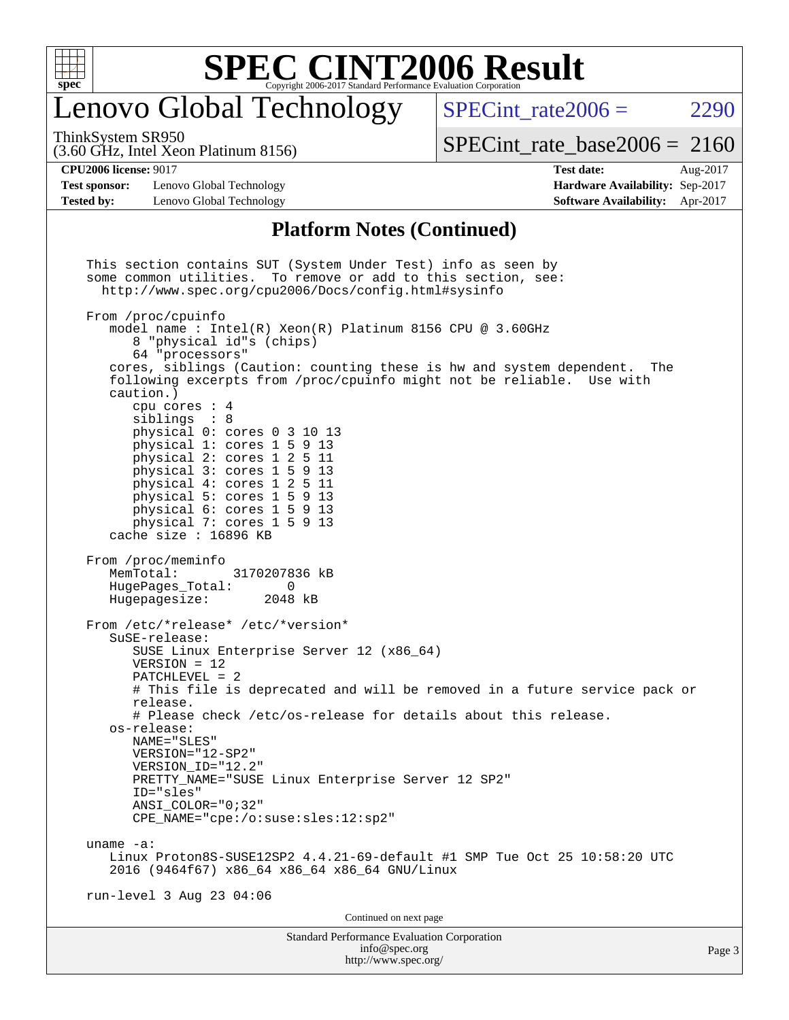

### enovo Global Technology

SPECint rate $2006 = 2290$ 

(3.60 GHz, Intel Xeon Platinum 8156) ThinkSystem SR950

[SPECint\\_rate\\_base2006 =](http://www.spec.org/auto/cpu2006/Docs/result-fields.html#SPECintratebase2006) 2160

**[Test sponsor:](http://www.spec.org/auto/cpu2006/Docs/result-fields.html#Testsponsor)** Lenovo Global Technology **[Hardware Availability:](http://www.spec.org/auto/cpu2006/Docs/result-fields.html#HardwareAvailability)** Sep-2017 **[Tested by:](http://www.spec.org/auto/cpu2006/Docs/result-fields.html#Testedby)** Lenovo Global Technology **[Software Availability:](http://www.spec.org/auto/cpu2006/Docs/result-fields.html#SoftwareAvailability)** Apr-2017

**[CPU2006 license:](http://www.spec.org/auto/cpu2006/Docs/result-fields.html#CPU2006license)** 9017 **[Test date:](http://www.spec.org/auto/cpu2006/Docs/result-fields.html#Testdate)** Aug-2017

#### **[Platform Notes \(Continued\)](http://www.spec.org/auto/cpu2006/Docs/result-fields.html#PlatformNotes)**

Standard Performance Evaluation Corporation [info@spec.org](mailto:info@spec.org) Page 3 This section contains SUT (System Under Test) info as seen by some common utilities. To remove or add to this section, see: <http://www.spec.org/cpu2006/Docs/config.html#sysinfo> From /proc/cpuinfo model name : Intel(R) Xeon(R) Platinum 8156 CPU @ 3.60GHz 8 "physical id"s (chips) 64 "processors" cores, siblings (Caution: counting these is hw and system dependent. The following excerpts from /proc/cpuinfo might not be reliable. Use with caution.) cpu cores : 4 siblings : 8 physical 0: cores 0 3 10 13 physical 1: cores 1 5 9 13 physical 2: cores 1 2 5 11 physical 3: cores 1 5 9 13 physical 4: cores 1 2 5 11 physical 5: cores 1 5 9 13 physical 6: cores 1 5 9 13 physical 7: cores 1 5 9 13 cache size : 16896 KB From /proc/meminfo<br>MemTotal: 3170207836 kB HugePages\_Total: 0<br>Hugepagesize: 2048 kB Hugepagesize: From /etc/\*release\* /etc/\*version\* SuSE-release: SUSE Linux Enterprise Server 12 (x86\_64) VERSION = 12 PATCHLEVEL = 2 # This file is deprecated and will be removed in a future service pack or release. # Please check /etc/os-release for details about this release. os-release: NAME="SLES" VERSION="12-SP2" VERSION\_ID="12.2" PRETTY\_NAME="SUSE Linux Enterprise Server 12 SP2" ID="sles" ANSI\_COLOR="0;32" CPE\_NAME="cpe:/o:suse:sles:12:sp2" uname -a: Linux Proton8S-SUSE12SP2 4.4.21-69-default #1 SMP Tue Oct 25 10:58:20 UTC 2016 (9464f67) x86\_64 x86\_64 x86\_64 GNU/Linux run-level 3 Aug 23 04:06 Continued on next page

<http://www.spec.org/>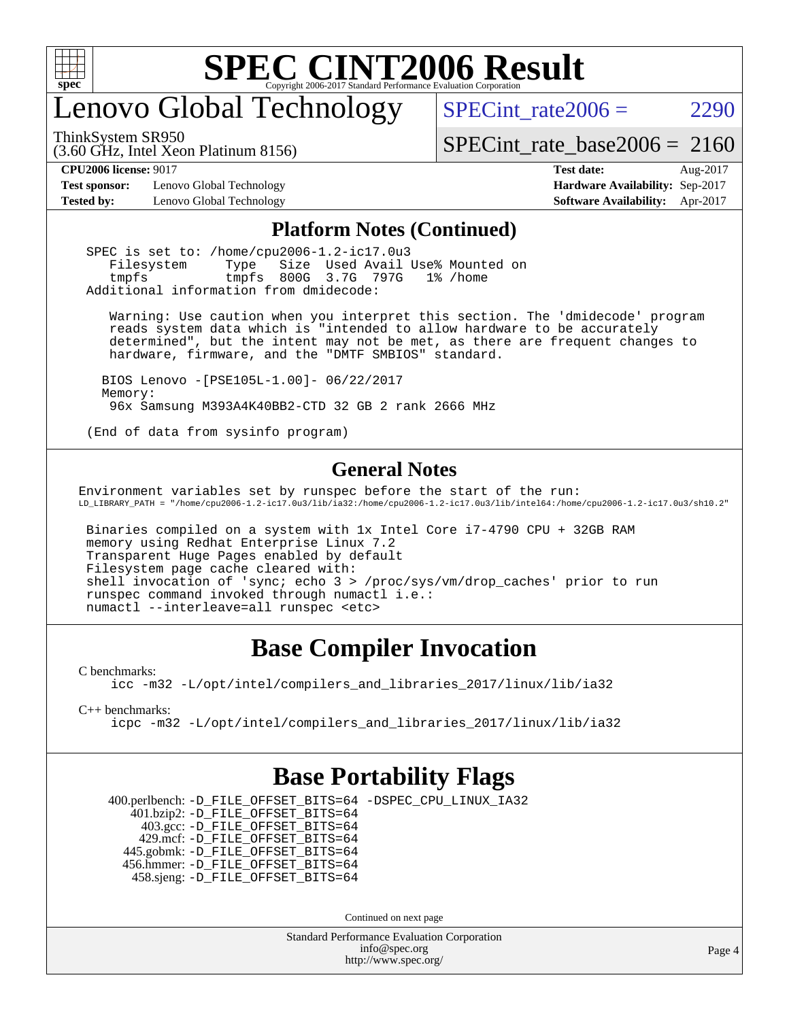

# enovo Global Technology

SPECint rate $2006 = 2290$ 

(3.60 GHz, Intel Xeon Platinum 8156) ThinkSystem SR950

[SPECint\\_rate\\_base2006 =](http://www.spec.org/auto/cpu2006/Docs/result-fields.html#SPECintratebase2006) 2160

**[Test sponsor:](http://www.spec.org/auto/cpu2006/Docs/result-fields.html#Testsponsor)** Lenovo Global Technology **[Hardware Availability:](http://www.spec.org/auto/cpu2006/Docs/result-fields.html#HardwareAvailability)** Sep-2017

**[CPU2006 license:](http://www.spec.org/auto/cpu2006/Docs/result-fields.html#CPU2006license)** 9017 **[Test date:](http://www.spec.org/auto/cpu2006/Docs/result-fields.html#Testdate)** Aug-2017 **[Tested by:](http://www.spec.org/auto/cpu2006/Docs/result-fields.html#Testedby)** Lenovo Global Technology **[Software Availability:](http://www.spec.org/auto/cpu2006/Docs/result-fields.html#SoftwareAvailability)** Apr-2017

#### **[Platform Notes \(Continued\)](http://www.spec.org/auto/cpu2006/Docs/result-fields.html#PlatformNotes)**

 SPEC is set to: /home/cpu2006-1.2-ic17.0u3 Filesystem Type Size Used Avail Use% Mounted on tmpfs tmpfs 800G 3.7G 797G 1% /home Additional information from dmidecode:

 Warning: Use caution when you interpret this section. The 'dmidecode' program reads system data which is "intended to allow hardware to be accurately determined", but the intent may not be met, as there are frequent changes to hardware, firmware, and the "DMTF SMBIOS" standard.

 BIOS Lenovo -[PSE105L-1.00]- 06/22/2017 Memory: 96x Samsung M393A4K40BB2-CTD 32 GB 2 rank 2666 MHz

(End of data from sysinfo program)

#### **[General Notes](http://www.spec.org/auto/cpu2006/Docs/result-fields.html#GeneralNotes)**

Environment variables set by runspec before the start of the run: LD\_LIBRARY\_PATH = "/home/cpu2006-1.2-ic17.0u3/lib/ia32:/home/cpu2006-1.2-ic17.0u3/lib/intel64:/home/cpu2006-1.2-ic17.0u3/sh10.2"

 Binaries compiled on a system with 1x Intel Core i7-4790 CPU + 32GB RAM memory using Redhat Enterprise Linux 7.2 Transparent Huge Pages enabled by default Filesystem page cache cleared with: shell invocation of 'sync; echo 3 > /proc/sys/vm/drop\_caches' prior to run runspec command invoked through numactl i.e.: numactl --interleave=all runspec <etc>

#### **[Base Compiler Invocation](http://www.spec.org/auto/cpu2006/Docs/result-fields.html#BaseCompilerInvocation)**

[C benchmarks](http://www.spec.org/auto/cpu2006/Docs/result-fields.html#Cbenchmarks):

[icc -m32 -L/opt/intel/compilers\\_and\\_libraries\\_2017/linux/lib/ia32](http://www.spec.org/cpu2006/results/res2017q4/cpu2006-20170917-49354.flags.html#user_CCbase_intel_icc_c29f3ff5a7ed067b11e4ec10a03f03ae)

[C++ benchmarks:](http://www.spec.org/auto/cpu2006/Docs/result-fields.html#CXXbenchmarks)

[icpc -m32 -L/opt/intel/compilers\\_and\\_libraries\\_2017/linux/lib/ia32](http://www.spec.org/cpu2006/results/res2017q4/cpu2006-20170917-49354.flags.html#user_CXXbase_intel_icpc_8c35c7808b62dab9ae41a1aa06361b6b)

#### **[Base Portability Flags](http://www.spec.org/auto/cpu2006/Docs/result-fields.html#BasePortabilityFlags)**

 400.perlbench: [-D\\_FILE\\_OFFSET\\_BITS=64](http://www.spec.org/cpu2006/results/res2017q4/cpu2006-20170917-49354.flags.html#user_basePORTABILITY400_perlbench_file_offset_bits_64_438cf9856305ebd76870a2c6dc2689ab) [-DSPEC\\_CPU\\_LINUX\\_IA32](http://www.spec.org/cpu2006/results/res2017q4/cpu2006-20170917-49354.flags.html#b400.perlbench_baseCPORTABILITY_DSPEC_CPU_LINUX_IA32) 401.bzip2: [-D\\_FILE\\_OFFSET\\_BITS=64](http://www.spec.org/cpu2006/results/res2017q4/cpu2006-20170917-49354.flags.html#user_basePORTABILITY401_bzip2_file_offset_bits_64_438cf9856305ebd76870a2c6dc2689ab) 403.gcc: [-D\\_FILE\\_OFFSET\\_BITS=64](http://www.spec.org/cpu2006/results/res2017q4/cpu2006-20170917-49354.flags.html#user_basePORTABILITY403_gcc_file_offset_bits_64_438cf9856305ebd76870a2c6dc2689ab) 429.mcf: [-D\\_FILE\\_OFFSET\\_BITS=64](http://www.spec.org/cpu2006/results/res2017q4/cpu2006-20170917-49354.flags.html#user_basePORTABILITY429_mcf_file_offset_bits_64_438cf9856305ebd76870a2c6dc2689ab) 445.gobmk: [-D\\_FILE\\_OFFSET\\_BITS=64](http://www.spec.org/cpu2006/results/res2017q4/cpu2006-20170917-49354.flags.html#user_basePORTABILITY445_gobmk_file_offset_bits_64_438cf9856305ebd76870a2c6dc2689ab) 456.hmmer: [-D\\_FILE\\_OFFSET\\_BITS=64](http://www.spec.org/cpu2006/results/res2017q4/cpu2006-20170917-49354.flags.html#user_basePORTABILITY456_hmmer_file_offset_bits_64_438cf9856305ebd76870a2c6dc2689ab) 458.sjeng: [-D\\_FILE\\_OFFSET\\_BITS=64](http://www.spec.org/cpu2006/results/res2017q4/cpu2006-20170917-49354.flags.html#user_basePORTABILITY458_sjeng_file_offset_bits_64_438cf9856305ebd76870a2c6dc2689ab)

Continued on next page

Standard Performance Evaluation Corporation [info@spec.org](mailto:info@spec.org) <http://www.spec.org/>

Page 4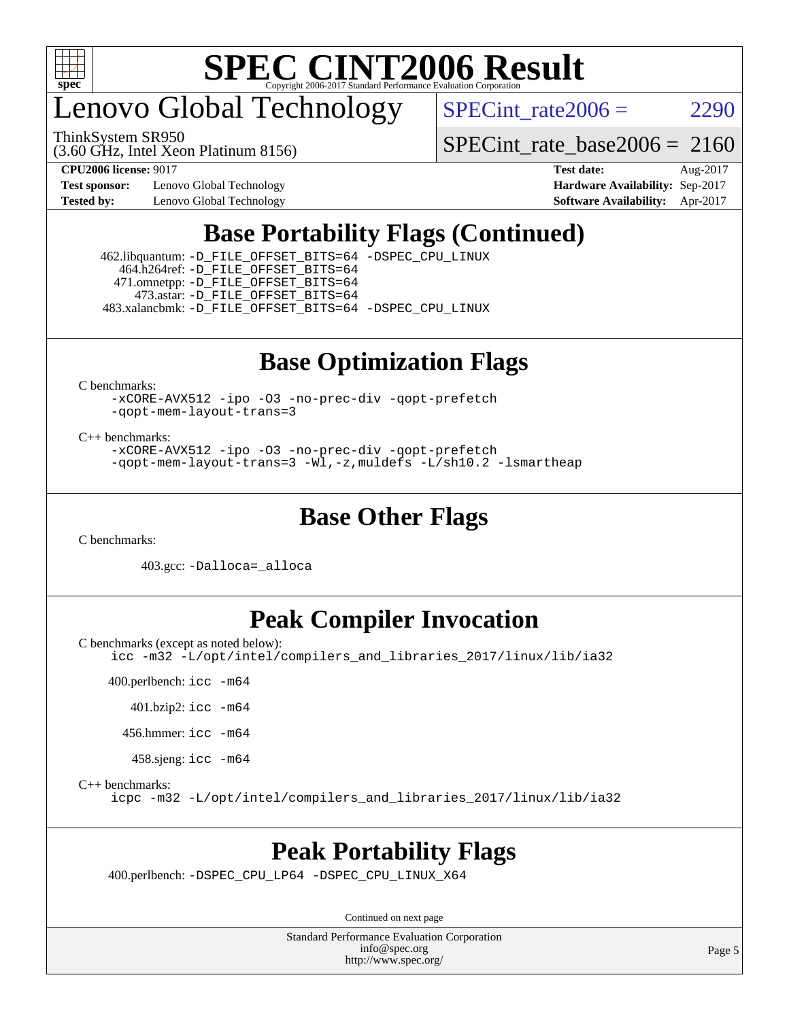

enovo Global Technology

ThinkSystem SR950

SPECint rate $2006 = 2290$ 

(3.60 GHz, Intel Xeon Platinum 8156)

**[Test sponsor:](http://www.spec.org/auto/cpu2006/Docs/result-fields.html#Testsponsor)** Lenovo Global Technology **[Hardware Availability:](http://www.spec.org/auto/cpu2006/Docs/result-fields.html#HardwareAvailability)** Sep-2017

[SPECint\\_rate\\_base2006 =](http://www.spec.org/auto/cpu2006/Docs/result-fields.html#SPECintratebase2006) 2160 **[CPU2006 license:](http://www.spec.org/auto/cpu2006/Docs/result-fields.html#CPU2006license)** 9017 **[Test date:](http://www.spec.org/auto/cpu2006/Docs/result-fields.html#Testdate)** Aug-2017

**[Tested by:](http://www.spec.org/auto/cpu2006/Docs/result-fields.html#Testedby)** Lenovo Global Technology **[Software Availability:](http://www.spec.org/auto/cpu2006/Docs/result-fields.html#SoftwareAvailability)** Apr-2017

### **[Base Portability Flags \(Continued\)](http://www.spec.org/auto/cpu2006/Docs/result-fields.html#BasePortabilityFlags)**

 462.libquantum: [-D\\_FILE\\_OFFSET\\_BITS=64](http://www.spec.org/cpu2006/results/res2017q4/cpu2006-20170917-49354.flags.html#user_basePORTABILITY462_libquantum_file_offset_bits_64_438cf9856305ebd76870a2c6dc2689ab) [-DSPEC\\_CPU\\_LINUX](http://www.spec.org/cpu2006/results/res2017q4/cpu2006-20170917-49354.flags.html#b462.libquantum_baseCPORTABILITY_DSPEC_CPU_LINUX) 464.h264ref: [-D\\_FILE\\_OFFSET\\_BITS=64](http://www.spec.org/cpu2006/results/res2017q4/cpu2006-20170917-49354.flags.html#user_basePORTABILITY464_h264ref_file_offset_bits_64_438cf9856305ebd76870a2c6dc2689ab) 471.omnetpp: [-D\\_FILE\\_OFFSET\\_BITS=64](http://www.spec.org/cpu2006/results/res2017q4/cpu2006-20170917-49354.flags.html#user_basePORTABILITY471_omnetpp_file_offset_bits_64_438cf9856305ebd76870a2c6dc2689ab) 473.astar: [-D\\_FILE\\_OFFSET\\_BITS=64](http://www.spec.org/cpu2006/results/res2017q4/cpu2006-20170917-49354.flags.html#user_basePORTABILITY473_astar_file_offset_bits_64_438cf9856305ebd76870a2c6dc2689ab)

483.xalancbmk: [-D\\_FILE\\_OFFSET\\_BITS=64](http://www.spec.org/cpu2006/results/res2017q4/cpu2006-20170917-49354.flags.html#user_basePORTABILITY483_xalancbmk_file_offset_bits_64_438cf9856305ebd76870a2c6dc2689ab) [-DSPEC\\_CPU\\_LINUX](http://www.spec.org/cpu2006/results/res2017q4/cpu2006-20170917-49354.flags.html#b483.xalancbmk_baseCXXPORTABILITY_DSPEC_CPU_LINUX)

### **[Base Optimization Flags](http://www.spec.org/auto/cpu2006/Docs/result-fields.html#BaseOptimizationFlags)**

[C benchmarks](http://www.spec.org/auto/cpu2006/Docs/result-fields.html#Cbenchmarks):

[-xCORE-AVX512](http://www.spec.org/cpu2006/results/res2017q4/cpu2006-20170917-49354.flags.html#user_CCbase_f-xCORE-AVX512) [-ipo](http://www.spec.org/cpu2006/results/res2017q4/cpu2006-20170917-49354.flags.html#user_CCbase_f-ipo) [-O3](http://www.spec.org/cpu2006/results/res2017q4/cpu2006-20170917-49354.flags.html#user_CCbase_f-O3) [-no-prec-div](http://www.spec.org/cpu2006/results/res2017q4/cpu2006-20170917-49354.flags.html#user_CCbase_f-no-prec-div) [-qopt-prefetch](http://www.spec.org/cpu2006/results/res2017q4/cpu2006-20170917-49354.flags.html#user_CCbase_f-qopt-prefetch) [-qopt-mem-layout-trans=3](http://www.spec.org/cpu2006/results/res2017q4/cpu2006-20170917-49354.flags.html#user_CCbase_f-qopt-mem-layout-trans_170f5be61cd2cedc9b54468c59262d5d)

[C++ benchmarks:](http://www.spec.org/auto/cpu2006/Docs/result-fields.html#CXXbenchmarks)

[-xCORE-AVX512](http://www.spec.org/cpu2006/results/res2017q4/cpu2006-20170917-49354.flags.html#user_CXXbase_f-xCORE-AVX512) [-ipo](http://www.spec.org/cpu2006/results/res2017q4/cpu2006-20170917-49354.flags.html#user_CXXbase_f-ipo) [-O3](http://www.spec.org/cpu2006/results/res2017q4/cpu2006-20170917-49354.flags.html#user_CXXbase_f-O3) [-no-prec-div](http://www.spec.org/cpu2006/results/res2017q4/cpu2006-20170917-49354.flags.html#user_CXXbase_f-no-prec-div) [-qopt-prefetch](http://www.spec.org/cpu2006/results/res2017q4/cpu2006-20170917-49354.flags.html#user_CXXbase_f-qopt-prefetch) [-qopt-mem-layout-trans=3](http://www.spec.org/cpu2006/results/res2017q4/cpu2006-20170917-49354.flags.html#user_CXXbase_f-qopt-mem-layout-trans_170f5be61cd2cedc9b54468c59262d5d) [-Wl,-z,muldefs](http://www.spec.org/cpu2006/results/res2017q4/cpu2006-20170917-49354.flags.html#user_CXXbase_link_force_multiple1_74079c344b956b9658436fd1b6dd3a8a) [-L/sh10.2 -lsmartheap](http://www.spec.org/cpu2006/results/res2017q4/cpu2006-20170917-49354.flags.html#user_CXXbase_SmartHeap_b831f2d313e2fffa6dfe3f00ffc1f1c0)

### **[Base Other Flags](http://www.spec.org/auto/cpu2006/Docs/result-fields.html#BaseOtherFlags)**

[C benchmarks](http://www.spec.org/auto/cpu2006/Docs/result-fields.html#Cbenchmarks):

403.gcc: [-Dalloca=\\_alloca](http://www.spec.org/cpu2006/results/res2017q4/cpu2006-20170917-49354.flags.html#b403.gcc_baseEXTRA_CFLAGS_Dalloca_be3056838c12de2578596ca5467af7f3)

### **[Peak Compiler Invocation](http://www.spec.org/auto/cpu2006/Docs/result-fields.html#PeakCompilerInvocation)**

[C benchmarks \(except as noted below\)](http://www.spec.org/auto/cpu2006/Docs/result-fields.html#Cbenchmarksexceptasnotedbelow):

[icc -m32 -L/opt/intel/compilers\\_and\\_libraries\\_2017/linux/lib/ia32](http://www.spec.org/cpu2006/results/res2017q4/cpu2006-20170917-49354.flags.html#user_CCpeak_intel_icc_c29f3ff5a7ed067b11e4ec10a03f03ae)

400.perlbench: [icc -m64](http://www.spec.org/cpu2006/results/res2017q4/cpu2006-20170917-49354.flags.html#user_peakCCLD400_perlbench_intel_icc_64bit_bda6cc9af1fdbb0edc3795bac97ada53)

401.bzip2: [icc -m64](http://www.spec.org/cpu2006/results/res2017q4/cpu2006-20170917-49354.flags.html#user_peakCCLD401_bzip2_intel_icc_64bit_bda6cc9af1fdbb0edc3795bac97ada53)

456.hmmer: [icc -m64](http://www.spec.org/cpu2006/results/res2017q4/cpu2006-20170917-49354.flags.html#user_peakCCLD456_hmmer_intel_icc_64bit_bda6cc9af1fdbb0edc3795bac97ada53)

458.sjeng: [icc -m64](http://www.spec.org/cpu2006/results/res2017q4/cpu2006-20170917-49354.flags.html#user_peakCCLD458_sjeng_intel_icc_64bit_bda6cc9af1fdbb0edc3795bac97ada53)

[C++ benchmarks:](http://www.spec.org/auto/cpu2006/Docs/result-fields.html#CXXbenchmarks)

[icpc -m32 -L/opt/intel/compilers\\_and\\_libraries\\_2017/linux/lib/ia32](http://www.spec.org/cpu2006/results/res2017q4/cpu2006-20170917-49354.flags.html#user_CXXpeak_intel_icpc_8c35c7808b62dab9ae41a1aa06361b6b)

#### **[Peak Portability Flags](http://www.spec.org/auto/cpu2006/Docs/result-fields.html#PeakPortabilityFlags)**

400.perlbench: [-DSPEC\\_CPU\\_LP64](http://www.spec.org/cpu2006/results/res2017q4/cpu2006-20170917-49354.flags.html#b400.perlbench_peakCPORTABILITY_DSPEC_CPU_LP64) [-DSPEC\\_CPU\\_LINUX\\_X64](http://www.spec.org/cpu2006/results/res2017q4/cpu2006-20170917-49354.flags.html#b400.perlbench_peakCPORTABILITY_DSPEC_CPU_LINUX_X64)

Continued on next page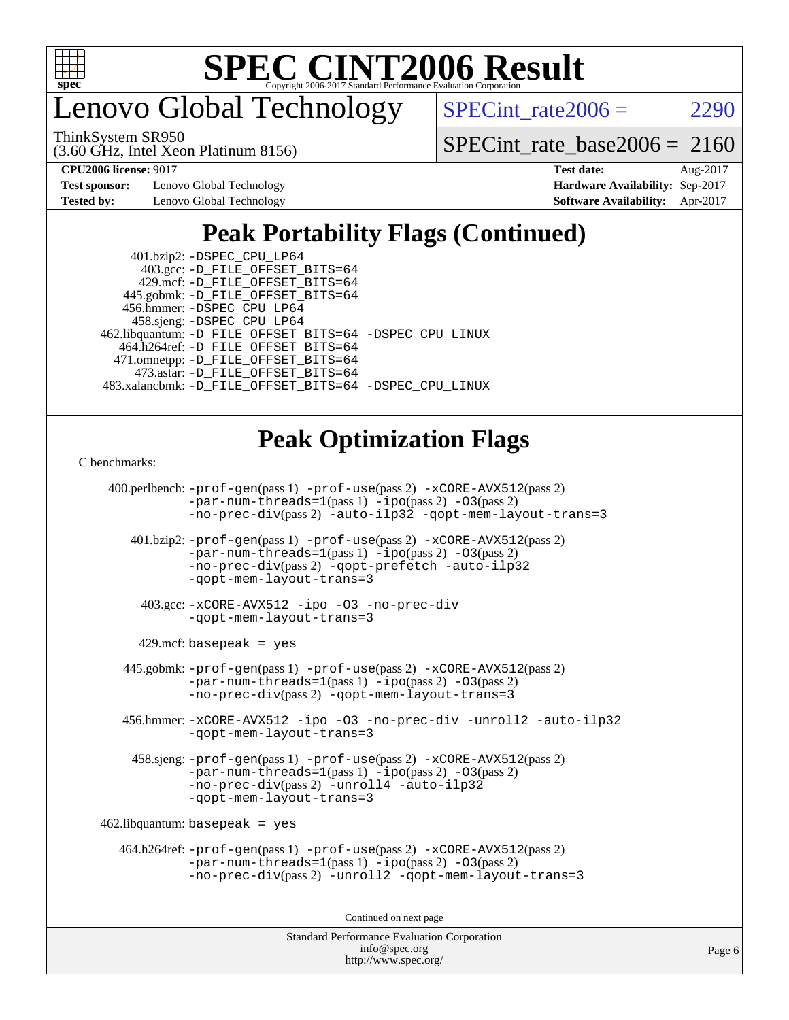

enovo Global Technology

ThinkSystem SR950

SPECint rate $2006 = 2290$ 

[SPECint\\_rate\\_base2006 =](http://www.spec.org/auto/cpu2006/Docs/result-fields.html#SPECintratebase2006) 2160

**[Test sponsor:](http://www.spec.org/auto/cpu2006/Docs/result-fields.html#Testsponsor)** Lenovo Global Technology **[Hardware Availability:](http://www.spec.org/auto/cpu2006/Docs/result-fields.html#HardwareAvailability)** Sep-2017

(3.60 GHz, Intel Xeon Platinum 8156)

**[CPU2006 license:](http://www.spec.org/auto/cpu2006/Docs/result-fields.html#CPU2006license)** 9017 **[Test date:](http://www.spec.org/auto/cpu2006/Docs/result-fields.html#Testdate)** Aug-2017 **[Tested by:](http://www.spec.org/auto/cpu2006/Docs/result-fields.html#Testedby)** Lenovo Global Technology **[Software Availability:](http://www.spec.org/auto/cpu2006/Docs/result-fields.html#SoftwareAvailability)** Apr-2017

### **[Peak Portability Flags \(Continued\)](http://www.spec.org/auto/cpu2006/Docs/result-fields.html#PeakPortabilityFlags)**

| 462.libquantum: -D_FILE_OFFSET_BITS=64 -DSPEC_CPU_LINUX  |
|----------------------------------------------------------|
|                                                          |
|                                                          |
|                                                          |
| 483.xalancbmk: - D FILE OFFSET BITS=64 - DSPEC CPU LINUX |
|                                                          |

### **[Peak Optimization Flags](http://www.spec.org/auto/cpu2006/Docs/result-fields.html#PeakOptimizationFlags)**

[C benchmarks](http://www.spec.org/auto/cpu2006/Docs/result-fields.html#Cbenchmarks):

```
 400.perlbench: -prof-gen(pass 1) -prof-use(pass 2) -xCORE-AVX512(pass 2)
            -par-num-threads=1(pass 1) -ipo(pass 2) -O3(pass 2)
            -no-prec-div(pass 2) -auto-ilp32 -qopt-mem-layout-trans=3
    401.bzip2: -prof-gen(pass 1) -prof-use(pass 2) -xCORE-AVX512(pass 2)
            -par-num-threads=1-ipo-O3(pass 2)-no-prec-div(pass 2) -qopt-prefetch -auto-ilp32
           -qopt-mem-layout-trans=3
     403.gcc: -xCORE-AVX512 -ipo -O3 -no-prec-div
            -qopt-mem-layout-trans=3
    429.mcf: basepeak = yes
   445.gobmk: -prof-gen(pass 1) -prof-use(pass 2) -xCORE-AVX512(pass 2)
           -par-num-threads=1-ipo-O3(pass 2)-no-prec-div(pass 2) -qopt-mem-layout-trans=3
   456.hmmer: -xCORE-AVX512 -ipo -O3 -no-prec-div -unroll2 -auto-ilp32
            -qopt-mem-layout-trans=3
    458.sjeng: -prof-gen(pass 1) -prof-use(pass 2) -xCORE-AVX512(pass 2)
            -par-num-threads=1(pass 1) -ipo(pass 2) -O3(pass 2)
           -no-prec-div(pass 2) -unroll4 -auto-ilp32
           -qopt-mem-layout-trans=3
462.libquantum: basepeak = yes
  464.h264ref: -prof-gen(pass 1) -prof-use(pass 2) -xCORE-AVX512(pass 2)
            -par-num-threads=1(pass 1) -ipo(pass 2) -O3(pass 2)
           -no-prec-div(pass 2) -unroll2 -qopt-mem-layout-trans=3
                                  Continued on next page
```